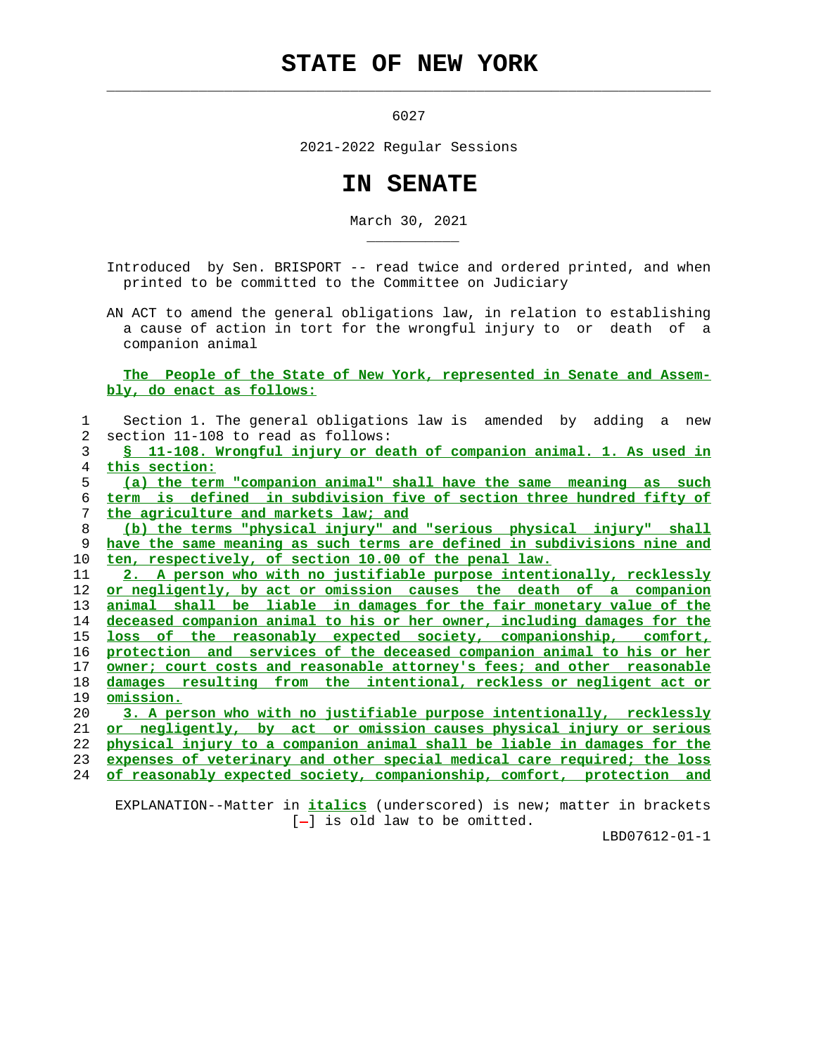## **STATE OF NEW YORK**

 $\mathcal{L}_\text{max} = \frac{1}{2} \sum_{i=1}^{n} \frac{1}{2} \sum_{i=1}^{n} \frac{1}{2} \sum_{i=1}^{n} \frac{1}{2} \sum_{i=1}^{n} \frac{1}{2} \sum_{i=1}^{n} \frac{1}{2} \sum_{i=1}^{n} \frac{1}{2} \sum_{i=1}^{n} \frac{1}{2} \sum_{i=1}^{n} \frac{1}{2} \sum_{i=1}^{n} \frac{1}{2} \sum_{i=1}^{n} \frac{1}{2} \sum_{i=1}^{n} \frac{1}{2} \sum_{i=1}^{n} \frac{1$ 

\_\_\_\_\_\_\_\_\_\_\_

6027

2021-2022 Regular Sessions

## **IN SENATE**

March 30, 2021

 Introduced by Sen. BRISPORT -- read twice and ordered printed, and when printed to be committed to the Committee on Judiciary

 AN ACT to amend the general obligations law, in relation to establishing a cause of action in tort for the wrongful injury to or death of a companion animal

 **The People of the State of New York, represented in Senate and Assem bly, do enact as follows:**

| 1  | Section 1. The general obligations law is amended by adding a<br>new            |
|----|---------------------------------------------------------------------------------|
| 2  | section 11-108 to read as follows:                                              |
| 3  | S 11-108. Wrongful injury or death of companion animal. 1. As used in           |
| 4  | this section:                                                                   |
| 5  | (a) the term "companion animal" shall have the same meaning as such             |
| 6  | term is defined in subdivision five of section three hundred fifty of           |
| 7  | the agriculture and markets law; and                                            |
| 8  | (b) the terms "physical injury" and "serious physical injury" shall             |
| 9  | have the same meaning as such terms are defined in subdivisions nine and        |
| 10 | ten, respectively, of section 10.00 of the penal law.                           |
| 11 | 2. A person who with no justifiable purpose intentionally, recklessly           |
| 12 | or negligently, by act or omission causes the death of a companion              |
| 13 | animal shall be liable in damages for the fair monetary value of the            |
| 14 | <u>deceased companion animal to his or her owner, including damages for the</u> |
| 15 | loss of the reasonably expected society, companionship, comfort,                |
| 16 | protection and services of the deceased companion animal to his or her          |
| 17 | owner; court costs and reasonable attorney's fees; and other reasonable         |
| 18 | damages resulting from the intentional, reckless or negligent act or            |
| 19 | omission.                                                                       |
| 20 | 3. A person who with no justifiable purpose intentionally, recklessly           |
| 21 | <u>or negligently, by act or omission causes physical injury or serious</u>     |
| 22 | physical injury to a companion animal shall be liable in damages for the        |
| 23 | expenses of veterinary and other special medical care required; the loss        |
| 24 | of reasonably expected society, companionship, comfort, protection and          |

 EXPLANATION--Matter in **italics** (underscored) is new; matter in brackets [-] is old law to be omitted.

LBD07612-01-1